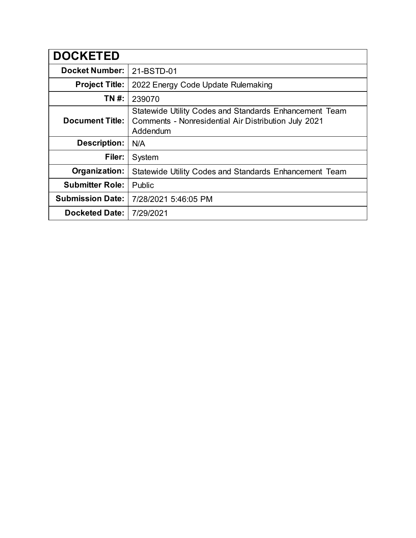| <b>DOCKETED</b>         |                                                                                                                                   |
|-------------------------|-----------------------------------------------------------------------------------------------------------------------------------|
| <b>Docket Number:</b>   | 21-BSTD-01                                                                                                                        |
| <b>Project Title:</b>   | 2022 Energy Code Update Rulemaking                                                                                                |
| TN #:                   | 239070                                                                                                                            |
| <b>Document Title:</b>  | <b>Statewide Utility Codes and Standards Enhancement Team</b><br>Comments - Nonresidential Air Distribution July 2021<br>Addendum |
| <b>Description:</b>     | N/A                                                                                                                               |
| Filer:                  | System                                                                                                                            |
| Organization:           | Statewide Utility Codes and Standards Enhancement Team                                                                            |
| <b>Submitter Role:</b>  | Public                                                                                                                            |
| <b>Submission Date:</b> | 7/28/2021 5:46:05 PM                                                                                                              |
| <b>Docketed Date:</b>   | 7/29/2021                                                                                                                         |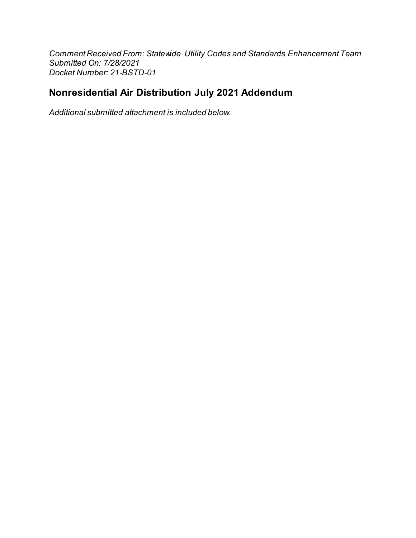Comment Received From: Statewide Utility Codes and Standards Enhancement Team Submitted On: 7/28/2021 Docket Number: 21-BSTD-01

## Nonresidential Air Distribution July 2021 Addendum

Additional submitted attachment is included below.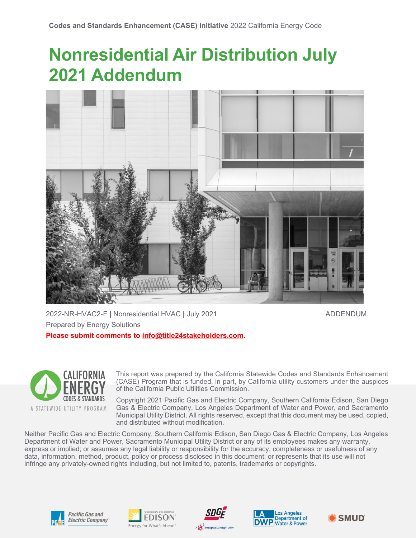# **Nonresidential Air Distribution July 2021 Addendum**



2022-NR-HVAC2-F **|** Nonresidential HVAC **|** July 2021 ADDENDUM Prepared by Energy Solutions **Please submit comments to [info@title24stakeholders.com.](mailto:info@title24stakeholders.com)** 

**CALIFORNIA CODES & STANDARDS** A STATEWIDE UTILITY PROGRAM

This report was prepared by the California Statewide Codes and Standards Enhancement (CASE) Program that is funded, in part, by California utility customers under the auspices of the California Public Utilities Commission.

Copyright 2021 Pacific Gas and Electric Company, Southern California Edison, San Diego Gas & Electric Company, Los Angeles Department of Water and Power, and Sacramento Municipal Utility District. All rights reserved, except that this document may be used, copied, and distributed without modification.

Neither Pacific Gas and Electric Company, Southern California Edison, San Diego Gas & Electric Company, Los Angeles Department of Water and Power, Sacramento Municipal Utility District or any of its employees makes any warranty, express or implied; or assumes any legal liability or responsibility for the accuracy, completeness or usefulness of any data, information, method, product, policy or process disclosed in this document; or represents that its use will not infringe any privately-owned rights including, but not limited to, patents, trademarks or copyrights.











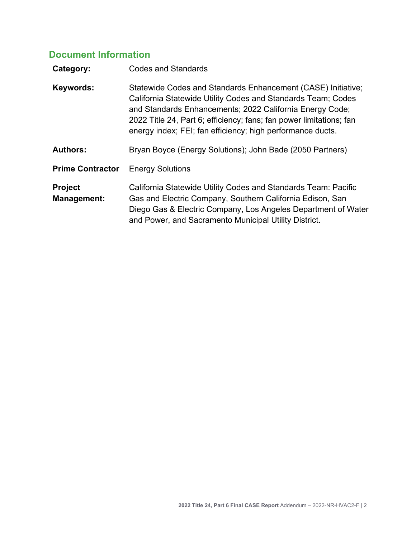## **Document Information**

| <b>Codes and Standards</b>                                                                                                                                                                                                                                                                                                    |
|-------------------------------------------------------------------------------------------------------------------------------------------------------------------------------------------------------------------------------------------------------------------------------------------------------------------------------|
| Statewide Codes and Standards Enhancement (CASE) Initiative;<br>California Statewide Utility Codes and Standards Team; Codes<br>and Standards Enhancements; 2022 California Energy Code;<br>2022 Title 24, Part 6; efficiency; fans; fan power limitations; fan<br>energy index; FEI; fan efficiency; high performance ducts. |
| Bryan Boyce (Energy Solutions); John Bade (2050 Partners)                                                                                                                                                                                                                                                                     |
| <b>Energy Solutions</b>                                                                                                                                                                                                                                                                                                       |
| California Statewide Utility Codes and Standards Team: Pacific<br>Gas and Electric Company, Southern California Edison, San<br>Diego Gas & Electric Company, Los Angeles Department of Water<br>and Power, and Sacramento Municipal Utility District.                                                                         |
|                                                                                                                                                                                                                                                                                                                               |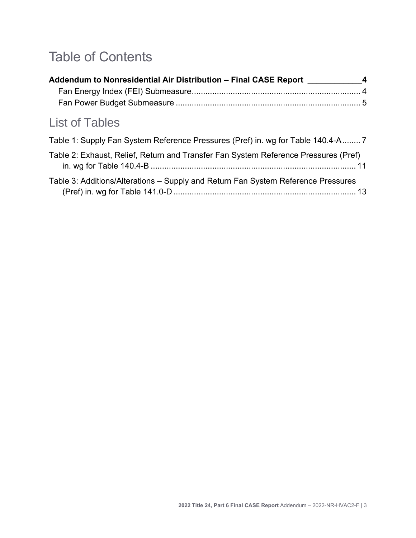## Table of Contents

| Addendum to Nonresidential Air Distribution - Final CASE Report 4 |
|-------------------------------------------------------------------|
|                                                                   |
|                                                                   |
|                                                                   |

## List of Tables

| Table 1: Supply Fan System Reference Pressures (Pref) in. wg for Table 140.4-A 7    |
|-------------------------------------------------------------------------------------|
| Table 2: Exhaust, Relief, Return and Transfer Fan System Reference Pressures (Pref) |
| Table 3: Additions/Alterations – Supply and Return Fan System Reference Pressures   |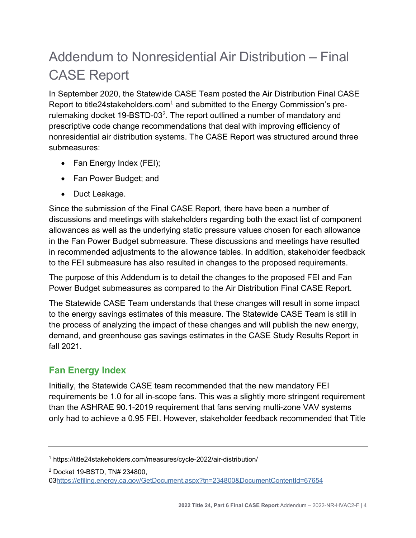## <span id="page-5-0"></span>Addendum to Nonresidential Air Distribution – Final CASE Report

In September 2020, the Statewide CASE Team posted the Air Distribution Final CASE Report to title24stakeholders.com<sup>1</sup> and submitted to the Energy Commission's prerulemaking docket 19-BSTD-03<sup>2</sup>. The report outlined a number of mandatory and prescriptive code change recommendations that deal with improving efficiency of nonresidential air distribution systems. The CASE Report was structured around three submeasures:

- Fan Energy Index (FEI);
- Fan Power Budget; and
- Duct Leakage.

Since the submission of the Final CASE Report, there have been a number of discussions and meetings with stakeholders regarding both the exact list of component allowances as well as the underlying static pressure values chosen for each allowance in the Fan Power Budget submeasure. These discussions and meetings have resulted in recommended adjustments to the allowance tables. In addition, stakeholder feedback to the FEI submeasure has also resulted in changes to the proposed requirements.

The purpose of this Addendum is to detail the changes to the proposed FEI and Fan Power Budget submeasures as compared to the Air Distribution Final CASE Report.

The Statewide CASE Team understands that these changes will result in some impact to the energy savings estimates of this measure. The Statewide CASE Team is still in the process of analyzing the impact of these changes and will publish the new energy, demand, and greenhouse gas savings estimates in the CASE Study Results Report in fall 2021.

## <span id="page-5-1"></span>**Fan Energy Index**

Initially, the Statewide CASE team recommended that the new mandatory FEI requirements be 1.0 for all in-scope fans. This was a slightly more stringent requirement than the ASHRAE 90.1-2019 requirement that fans serving multi-zone VAV systems only had to achieve a 0.95 FEI. However, stakeholder feedback recommended that Title

<sup>1</sup> https://title24stakeholders.com/measures/cycle-2022/air-distribution/

<sup>2</sup> Docket 19-BSTD, TN# 234800,

<sup>0</sup>[3https://efiling.energy.ca.gov/GetDocument.aspx?tn=234800&DocumentContentId=67654](https://efiling.energy.ca.gov/GetDocument.aspx?tn=234800&DocumentContentId=67654)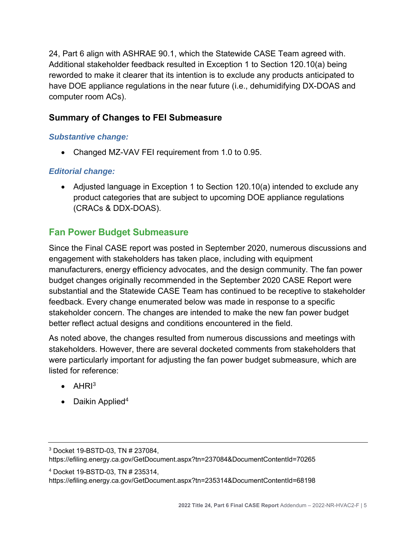24, Part 6 align with ASHRAE 90.1, which the Statewide CASE Team agreed with. Additional stakeholder feedback resulted in Exception 1 to Section 120.10(a) being reworded to make it clearer that its intention is to exclude any products anticipated to have DOE appliance regulations in the near future (i.e., dehumidifying DX-DOAS and computer room ACs).

## **Summary of Changes to FEI Submeasure**

### *Substantive change:*

• Changed MZ-VAV FEI requirement from 1.0 to 0.95.

## *Editorial change:*

• Adjusted language in Exception 1 to Section 120.10(a) intended to exclude any product categories that are subject to upcoming DOE appliance regulations (CRACs & DDX-DOAS).

## <span id="page-6-0"></span>**Fan Power Budget Submeasure**

Since the Final CASE report was posted in September 2020, numerous discussions and engagement with stakeholders has taken place, including with equipment manufacturers, energy efficiency advocates, and the design community. The fan power budget changes originally recommended in the September 2020 CASE Report were substantial and the Statewide CASE Team has continued to be receptive to stakeholder feedback. Every change enumerated below was made in response to a specific stakeholder concern. The changes are intended to make the new fan power budget better reflect actual designs and conditions encountered in the field.

As noted above, the changes resulted from numerous discussions and meetings with stakeholders. However, there are several docketed comments from stakeholders that were particularly important for adjusting the fan power budget submeasure, which are listed for reference:

- $\bullet$  AHRI<sup>3</sup>
- Daikin Applied<sup>4</sup>

<sup>4</sup> Docket 19-BSTD-03, TN # 235314,

https://efiling.energy.ca.gov/GetDocument.aspx?tn=235314&DocumentContentId=68198

<sup>3</sup> Docket 19-BSTD-03, TN # 237084,

https://efiling.energy.ca.gov/GetDocument.aspx?tn=237084&DocumentContentId=70265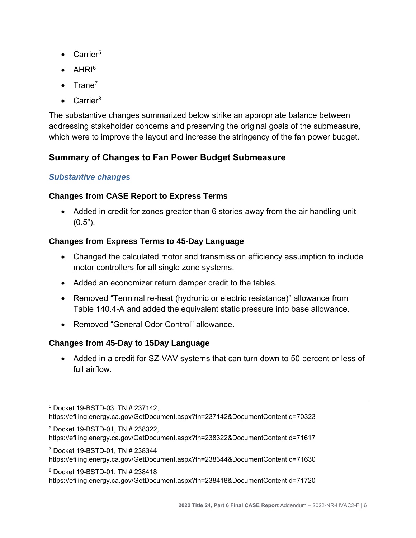- Carrier<sup>5</sup>
- $\bullet$  AHRI $6$
- $\bullet$  Trane<sup>7</sup>
- Carrier $8$

The substantive changes summarized below strike an appropriate balance between addressing stakeholder concerns and preserving the original goals of the submeasure, which were to improve the layout and increase the stringency of the fan power budget.

## **Summary of Changes to Fan Power Budget Submeasure**

## *Substantive changes*

## **Changes from CASE Report to Express Terms**

• Added in credit for zones greater than 6 stories away from the air handling unit  $(0.5")$ .

### **Changes from Express Terms to 45-Day Language**

- Changed the calculated motor and transmission efficiency assumption to include motor controllers for all single zone systems.
- Added an economizer return damper credit to the tables.
- Removed "Terminal re-heat (hydronic or electric resistance)" allowance from Table 140.4-A and added the equivalent static pressure into base allowance.
- Removed "General Odor Control" allowance.

### **Changes from 45-Day to 15Day Language**

• Added in a credit for SZ-VAV systems that can turn down to 50 percent or less of full airflow.

<sup>6</sup> Docket 19-BSTD-01, TN # 238322,

https://efiling.energy.ca.gov/GetDocument.aspx?tn=238322&DocumentContentId=71617

<sup>7</sup> Docket 19-BSTD-01, TN # 238344

https://efiling.energy.ca.gov/GetDocument.aspx?tn=238344&DocumentContentId=71630

<sup>8</sup> Docket 19-BSTD-01, TN # 238418

https://efiling.energy.ca.gov/GetDocument.aspx?tn=238418&DocumentContentId=71720

<sup>5</sup> Docket 19-BSTD-03, TN # 237142, https://efiling.energy.ca.gov/GetDocument.aspx?tn=237142&DocumentContentId=70323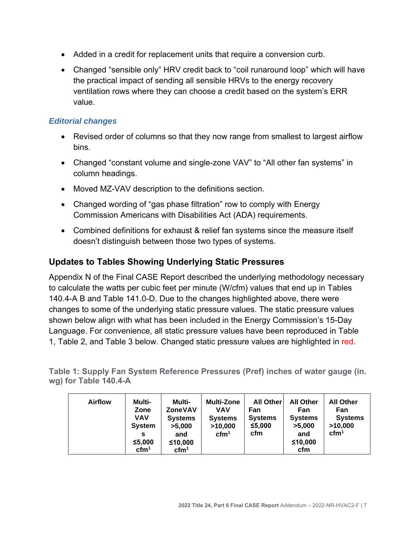- Added in a credit for replacement units that require a conversion curb.
- Changed "sensible only" HRV credit back to "coil runaround loop" which will have the practical impact of sending all sensible HRVs to the energy recovery ventilation rows where they can choose a credit based on the system's ERR value.

#### *Editorial changes*

- Revised order of columns so that they now range from smallest to largest airflow bins.
- Changed "constant volume and single-zone VAV" to "All other fan systems" in column headings.
- Moved MZ-VAV description to the definitions section.
- Changed wording of "gas phase filtration" row to comply with Energy Commission Americans with Disabilities Act (ADA) requirements.
- Combined definitions for exhaust & relief fan systems since the measure itself doesn't distinguish between those two types of systems.

#### **Updates to Tables Showing Underlying Static Pressures**

Appendix N of the Final CASE Report described the underlying methodology necessary to calculate the watts per cubic feet per minute (W/cfm) values that end up in Tables 140.4-A B and Table 141.0-D. Due to the changes highlighted above, there were changes to some of the underlying static pressure values. The static pressure values shown below align with what has been included in the Energy Commission's 15-Day Language. For convenience, all static pressure values have been reproduced in [Table](#page-8-0)  [1,](#page-8-0) [Table 2,](#page-12-0) and [Table 3](#page-14-0) below. Changed static pressure values are highlighted in red.

<span id="page-8-0"></span>**Table 1: Supply Fan System Reference Pressures (Pref) inches of water gauge (in. wg) for Table 140.4-A**

| <b>Airflow</b> | Multi-<br>Zone<br>VAV<br><b>System</b><br>s<br>≤5,000<br>$\mathrm{cfm}^1$ | Multi-<br><b>ZoneVAV</b><br><b>Systems</b><br>>5,000<br>and<br>≤10,000<br>$\mathrm{cfm}^1$ | <b>Multi-Zone</b><br>VAV<br><b>Systems</b><br>>10,000<br>$\text{cfm}^1$ | <b>All Other</b><br>Fan<br><b>Systems</b><br>≤5,000<br>cfm | <b>All Other</b><br>Fan<br><b>Systems</b><br>>5,000<br>and<br>≤10,000<br>cfm | <b>All Other</b><br>Fan<br><b>Systems</b><br>>10,000<br>$\text{cfm}^1$ |
|----------------|---------------------------------------------------------------------------|--------------------------------------------------------------------------------------------|-------------------------------------------------------------------------|------------------------------------------------------------|------------------------------------------------------------------------------|------------------------------------------------------------------------|
|----------------|---------------------------------------------------------------------------|--------------------------------------------------------------------------------------------|-------------------------------------------------------------------------|------------------------------------------------------------|------------------------------------------------------------------------------|------------------------------------------------------------------------|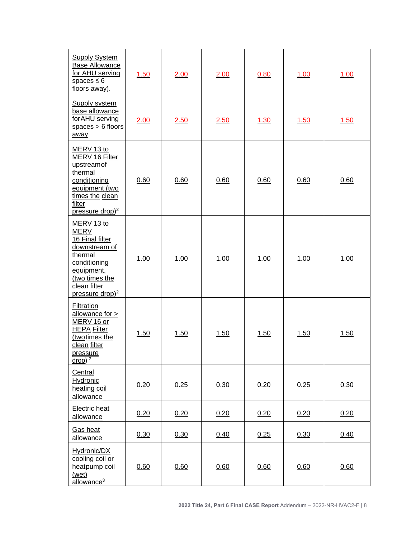| <b>Supply System</b><br><b>Base Allowance</b><br>for AHU serving<br>spaces $\leq 6$<br>floors away).                                                                    | 1.50 | 2.00 | 2.00 | 0.80 |      | 1.00        |
|-------------------------------------------------------------------------------------------------------------------------------------------------------------------------|------|------|------|------|------|-------------|
| <b>Supply system</b><br>base allowance<br>for AHU serving<br>spaces $> 6$ floors<br>away                                                                                | 2.00 | 2.50 | 2.50 | 1.30 | 1.50 | <u>1.50</u> |
| MERV 13 to<br>MERV 16 Filter<br>upstreamof<br>thermal<br>conditioning<br>equipment (two<br>times the clean<br>filter<br>pressure drop) <sup>2</sup>                     | 0.60 | 0.60 | 0.60 | 0.60 | 0.60 | 0.60        |
| MERV 13 to<br><b>MERV</b><br>16 Final filter<br>downstream of<br>thermal<br>conditioning<br>equipment.<br>(two times the<br>clean filter<br>pressure drop) <sup>2</sup> | 1.00 | 1.00 | 1.00 | 1.00 | 1.00 | 1.00        |
| Filtration<br>allowance for $>$<br>MERV 16 or<br><b>HEPA Filter</b><br>(two times the<br>clean filter<br>pressure<br>$\frac{drop}{2}$                                   | 1.50 | 1.50 | 1.50 | 1.50 | 1.50 | 1.50        |
| Central<br>Hydronic<br>heating coil<br>allowance                                                                                                                        | 0.20 | 0.25 | 0.30 | 0.20 | 0.25 | 0.30        |
| Electric heat<br>allowance                                                                                                                                              | 0.20 | 0.20 | 0.20 | 0.20 | 0.20 | 0.20        |
| Gas heat<br>allowance                                                                                                                                                   | 0.30 | 0.30 | 0.40 | 0.25 | 0.30 | 0.40        |
| Hydronic/DX<br>cooling coil or<br>heatpump coil<br>(wet)<br>$\overline{\text{allowance}}^3$                                                                             | 0.60 | 0.60 | 0.60 | 0.60 | 0.60 | 0.60        |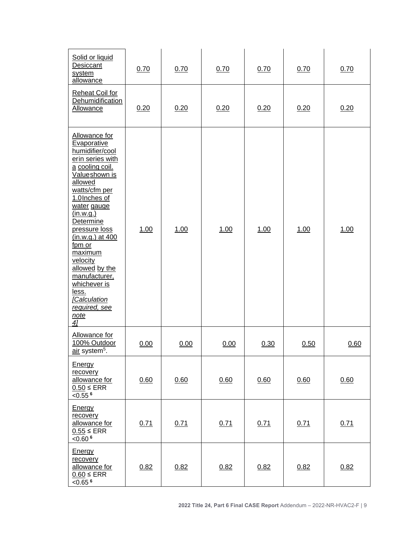| Solid or liquid<br>Desiccant<br>system<br>allowance                                                                                                                                                                                                                                                                                                                            | 0.70 | 0.70 | 0.70 | 0.70 | 0.70 | 0.70 |
|--------------------------------------------------------------------------------------------------------------------------------------------------------------------------------------------------------------------------------------------------------------------------------------------------------------------------------------------------------------------------------|------|------|------|------|------|------|
| <b>Reheat Coil for</b><br>Dehumidification<br>Allowance                                                                                                                                                                                                                                                                                                                        | 0.20 | 0.20 | 0.20 | 0.20 | 0.20 | 0.20 |
| Allowance for<br>Evaporative<br>humidifier/cool<br>erin series with<br>a cooling coil.<br>Valueshown is<br>allowed<br>watts/cfm per<br>1.0 Inches of<br>water gauge<br>(in.w.q.)<br>Determine<br>pressure loss<br>(in.w.g.) at 400<br>fpm or<br>maximum<br>velocity<br>allowed by the<br>manufacturer,<br>whichever is<br>less.<br>[Calculation<br>required, see<br>note<br>41 | 1.00 | 1.00 | 1.00 | 1.00 | 1.00 | 1.00 |
| Allowance for<br>100% Outdoor<br>air system <sup>5</sup> .                                                                                                                                                                                                                                                                                                                     | 0.00 | 0.00 | 0.00 | 0.30 | 0.50 | 0.60 |
| Energy<br>recovery<br>allowance for<br>$0.50 \leq ERR$<br>$< 0.55$ <sup>6</sup>                                                                                                                                                                                                                                                                                                | 0.60 | 0.60 | 0.60 | 0.60 | 0.60 | 0.60 |
| <b>Energy</b><br>recovery<br>allowance for<br>$0.55 \leq$ ERR<br>$< 0.60$ <sup>6</sup>                                                                                                                                                                                                                                                                                         | 0.71 | 0.71 | 0.71 | 0.71 | 0.71 | 0.71 |
| <b>Energy</b><br>recovery<br>allowance for<br>$0.60 \leq ERR$<br>$< 0.65$ <sup>6</sup>                                                                                                                                                                                                                                                                                         | 0.82 | 0.82 | 0.82 | 0.82 | 0.82 | 0.82 |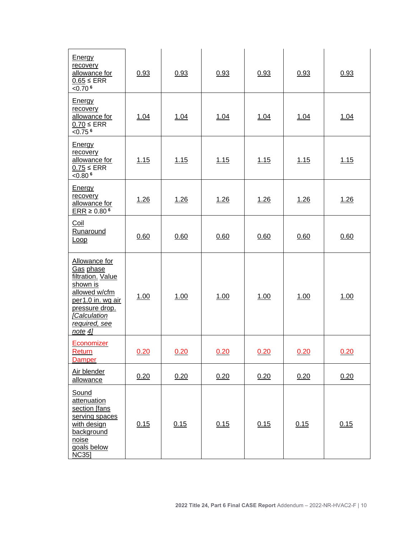| <b>Energy</b><br>recovery<br>allowance for<br>$0.65 \leq$ ERR<br>$< 0.70$ <sup>6</sup>                                                                            | 0.93        | 0.93 | 0.93 | 0.93 | 0.93 | 0.93 |
|-------------------------------------------------------------------------------------------------------------------------------------------------------------------|-------------|------|------|------|------|------|
| <b>Energy</b><br>recovery<br>allowance for<br>$0.70 \leq ERR$<br>$< 0.75$ <sup>6</sup>                                                                            | 1.04        | 1.04 | 1.04 | 1.04 | 1.04 | 1.04 |
| <b>Energy</b><br>recovery<br>allowance for<br>$0.75 \leq ERR$<br>$< 0.80$ <sup>6</sup>                                                                            | 1.15        | 1.15 | 1.15 | 1.15 | 1.15 | 1.15 |
| <b>Energy</b><br>recovery<br>allowance for<br>$ERR \ge 0.80^6$                                                                                                    | 1.26        | 1.26 | 1.26 | 1.26 | 1.26 | 1.26 |
| Coil<br>Runaround<br><b>Loop</b>                                                                                                                                  | 0.60        | 0.60 | 0.60 | 0.60 | 0.60 | 0.60 |
| Allowance for<br>Gas phase<br>filtration. Value<br>shown is<br>allowed w/cfm<br>per1.0 in. wg air<br>pressure drop.<br>[Calculation<br>required, see<br>$note$ 4] | <u>1.00</u> | 1.00 | 1.00 | 1.00 | 1.00 | 1.00 |
| Economizer<br>Return<br><b>Damper</b>                                                                                                                             | 0.20        | 0.20 | 0.20 | 0.20 | 0.20 | 0.20 |
| Air blender<br>allowance                                                                                                                                          | 0.20        | 0.20 | 0.20 | 0.20 | 0.20 | 0.20 |
| Sound<br>attenuation<br>section [fans<br>serving spaces<br>with design<br>background<br>noise<br>goals below<br><b>NC35</b>                                       | 0.15        | 0.15 | 0.15 | 0.15 | 0.15 | 0.15 |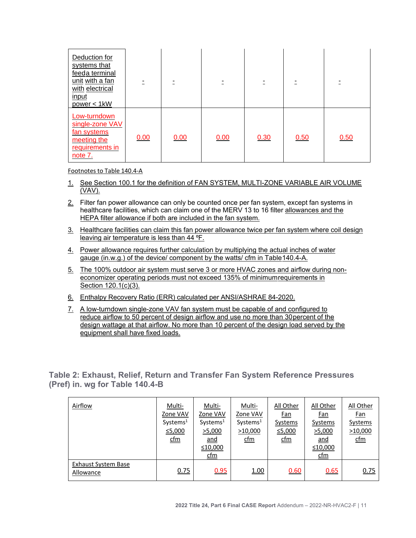| Deduction for<br>systems that<br>feeda terminal<br>unit with a fan<br>with electrical<br>input<br>power < 1kW |      |      |      |      |      |      |
|---------------------------------------------------------------------------------------------------------------|------|------|------|------|------|------|
| Low-turndown<br>single-zone VAV<br>fan systems<br>meeting the<br>requirements in<br>note 7.                   | 0.00 | 0.00 | 0.00 | 0.30 | 0.50 | 0.50 |

Footnotes to Table 140.4-A

- 1. See Section 100.1 for the definition of FAN SYSTEM, MULTI-ZONE VARIABLE AIR VOLUME (VAV).
- 2. Filter fan power allowance can only be counted once per fan system, except fan systems in healthcare facilities, which can claim one of the MERV 13 to 16 filter allowances and the HEPA filter allowance if both are included in the fan system.
- 3. Healthcare facilities can claim this fan power allowance twice per fan system where coil design leaving air temperature is less than 44 °F.
- 4. Power allowance requires further calculation by multiplying the actual inches of water gauge (in.w.g.) of the device/ component by the watts/ cfm in Table140.4-A.
- 5. The 100% outdoor air system must serve 3 or more HVAC zones and airflow during noneconomizer operating periods must not exceed 135% of minimumrequirements in Section 120.1(c)(3).
- 6. Enthalpy Recovery Ratio (ERR) calculated per ANSI/ASHRAE 84-2020.
- 7. A low-turndown single-zone VAV fan system must be capable of and configured to reduce airflow to 50 percent of design airflow and use no more than 30percent of the design wattage at that airflow. No more than 10 percent of the design load served by the equipment shall have fixed loads.

<span id="page-12-0"></span>**Table 2: Exhaust, Relief, Return and Transfer Fan System Reference Pressures (Pref) in. wg for Table 140.4-B**

| Airflow                          | <u>Multi-</u><br>Zone VAV<br>Systems <sup>1</sup><br>≤5,000<br>$\underline{\mathsf{cfm}}$ | Multi-<br>Zone VAV<br>Systems <sup>1</sup><br>>5,000<br>$and$<br>≤10,000<br><u>cfm</u> | Multi-<br>Zone VAV<br>Systems <sup>1</sup><br>>10,000<br><u>cfm</u> | All Other<br><u>Fan</u><br><b>Systems</b><br>≤5,000<br>$\underline{\text{cfm}}$ | All Other<br><u>Fan</u><br><b>Systems</b><br>>5,000<br><u>and</u><br>≤10,000<br>$\underline{\underline{\mathsf{cfm}}}$ | All Other<br><u>Fan</u><br>Systems<br>>10,000<br><u>cfm</u> |
|----------------------------------|-------------------------------------------------------------------------------------------|----------------------------------------------------------------------------------------|---------------------------------------------------------------------|---------------------------------------------------------------------------------|------------------------------------------------------------------------------------------------------------------------|-------------------------------------------------------------|
| Exhaust System Base<br>Allowance | 0.75                                                                                      | 0.95                                                                                   | 1.00                                                                | 0.60                                                                            | 0.65                                                                                                                   | 0.75                                                        |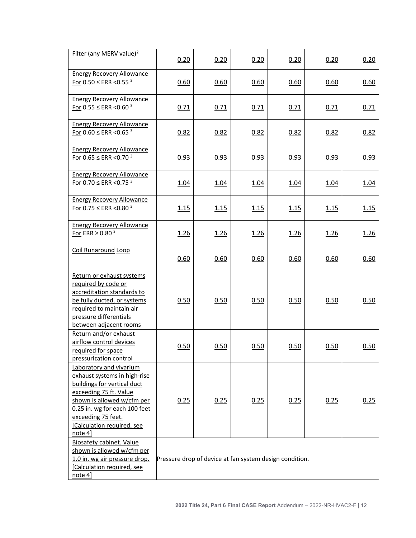| Filter (any MERV value) <sup>2</sup>                                                                                                                                                                                                           | 0.20                                                    | 0.20 | 0.20 | 0.20 | 0.20 | 0.20        |  |
|------------------------------------------------------------------------------------------------------------------------------------------------------------------------------------------------------------------------------------------------|---------------------------------------------------------|------|------|------|------|-------------|--|
| <b>Energy Recovery Allowance</b><br>For $0.50 \leq$ ERR < 0.55 $3$                                                                                                                                                                             | 0.60                                                    | 0.60 | 0.60 | 0.60 | 0.60 | 0.60        |  |
| <b>Energy Recovery Allowance</b><br>For $0.55 \leq$ ERR < 0.60 $3$                                                                                                                                                                             | 0.71                                                    | 0.71 | 0.71 | 0.71 | 0.71 | 0.71        |  |
| <b>Energy Recovery Allowance</b><br>For $0.60 \leq$ ERR < 0.65 $3$                                                                                                                                                                             | 0.82                                                    | 0.82 | 0.82 | 0.82 | 0.82 | 0.82        |  |
| <b>Energy Recovery Allowance</b><br>For 0.65 $\leq$ ERR < 0.70 $3$                                                                                                                                                                             | 0.93                                                    | 0.93 | 0.93 | 0.93 | 0.93 | 0.93        |  |
| <b>Energy Recovery Allowance</b><br>For $0.70 \leq$ ERR < 0.75 $3$                                                                                                                                                                             | 1.04                                                    | 1.04 | 1.04 | 1.04 | 1.04 | <u>1.04</u> |  |
| <b>Energy Recovery Allowance</b><br>For 0.75 $\leq$ ERR < 0.80 $3$                                                                                                                                                                             | 1.15                                                    | 1.15 | 1.15 | 1.15 | 1.15 | 1.15        |  |
| <b>Energy Recovery Allowance</b><br>For ERR $\geq$ 0.80 $^3$                                                                                                                                                                                   | 1.26                                                    | 1.26 | 1.26 | 1.26 | 1.26 | 1.26        |  |
| <b>Coil Runaround Loop</b>                                                                                                                                                                                                                     | 0.60                                                    | 0.60 | 0.60 | 0.60 | 0.60 | 0.60        |  |
| Return or exhaust systems<br>required by code or<br>accreditation standards to<br>be fully ducted, or systems<br>required to maintain air<br>pressure differentials<br>between adjacent rooms                                                  | 0.50                                                    | 0.50 | 0.50 | 0.50 | 0.50 | 0.50        |  |
| Return and/or exhaust<br>airflow control devices<br>required for space<br>pressurization control                                                                                                                                               | 0.50                                                    | 0.50 | 0.50 | 0.50 | 0.50 | 0.50        |  |
| Laboratory and vivarium<br>exhaust systems in high-rise<br>buildings for vertical duct<br>exceeding 75 ft. Value<br>shown is allowed w/cfm per<br>0.25 in. wg for each 100 feet<br>exceeding 75 feet.<br>[Calculation required, see<br>note 4] | 0.25                                                    | 0.25 | 0.25 | 0.25 | 0.25 | 0.25        |  |
| <b>Biosafety cabinet. Value</b><br>shown is allowed w/cfm per<br>1.0 in. wg air pressure drop.<br>[Calculation required, see<br>note 4]                                                                                                        | Pressure drop of device at fan system design condition. |      |      |      |      |             |  |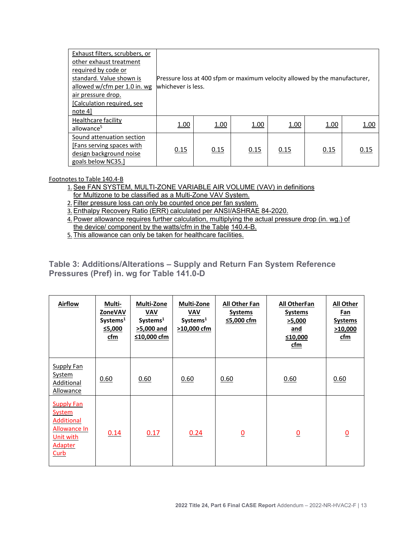| Exhaust filters, scrubbers, or |                                                                            |      |      |      |      |      |
|--------------------------------|----------------------------------------------------------------------------|------|------|------|------|------|
| other exhaust treatment        |                                                                            |      |      |      |      |      |
| required by code or            |                                                                            |      |      |      |      |      |
| standard. Value shown is       | Pressure loss at 400 sfpm or maximum velocity allowed by the manufacturer, |      |      |      |      |      |
| allowed w/cfm per 1.0 in. wg   | whichever is less.                                                         |      |      |      |      |      |
| air pressure drop.             |                                                                            |      |      |      |      |      |
| [Calculation required, see     |                                                                            |      |      |      |      |      |
| note 4                         |                                                                            |      |      |      |      |      |
| Healthcare facility            | 1.00                                                                       | 1.00 | 1.00 | 1.00 | 1.00 |      |
| allowance <sup>5</sup>         |                                                                            |      |      |      |      | 1.00 |
| Sound attenuation section      |                                                                            |      |      |      |      |      |
| [Fans serving spaces with]     |                                                                            |      |      |      |      |      |
| design background noise        | 0.15                                                                       | 0.15 | 0.15 | 0.15 | 0.15 | 0.15 |
| goals below NC35.]             |                                                                            |      |      |      |      |      |

Footnotes to Table 140.4-B

1. See FAN SYSTEM, MULTI-ZONE VARIABLE AIR VOLUME (VAV) in definitions

for Multizone to be classified as a Multi-Zone VAV System.

2. Filter pressure loss can only be counted once per fan system.

3.Enthalpy Recovery Ratio (ERR) calculated per ANSI/ASHRAE 84-2020.

4.Power allowance requires further calculation, multiplying the actual pressure drop (in. wg.) of the device/ component by the watts/cfm in the Table 140.4-B.

5. This allowance can only be taken for healthcare facilities.

#### <span id="page-14-0"></span>**Table 3: Additions/Alterations – Supply and Return Fan System Reference Pressures (Pref) in. wg for Table 141.0-D**

| <b>Airflow</b>                                                                                                 | Multi-<br>ZoneVAV<br>Systems <sup>1</sup><br><u>≤5,000</u><br>cfm | <b>Multi-Zone</b><br><b>VAV</b><br>Systems <sup>1</sup><br><u>&gt;5,000 and</u><br>$≤10,000$ cfm | <b>Multi-Zone</b><br><b>VAV</b><br>Systems <sup>1</sup><br>$>10,000$ cfm | All Other Fan<br><b>Systems</b><br>≤5,000 cfm | <b>All OtherFan</b><br><b>Systems</b><br>>5,000<br>and<br>≤10,000<br>cfm | <b>All Other</b><br>Fan<br><b>Systems</b><br>>10,000<br>cfm |
|----------------------------------------------------------------------------------------------------------------|-------------------------------------------------------------------|--------------------------------------------------------------------------------------------------|--------------------------------------------------------------------------|-----------------------------------------------|--------------------------------------------------------------------------|-------------------------------------------------------------|
| <b>Supply Fan</b><br>System<br>Additional<br><b>Allowance</b>                                                  | 0.60                                                              | 0.60                                                                                             | 0.60                                                                     | 0.60                                          | 0.60                                                                     | 0.60                                                        |
| <b>Supply Fan</b><br><b>System</b><br><b>Additional</b><br>Allowance In<br>Unit with<br><b>Adapter</b><br>Curb | 0.14                                                              | 0.17                                                                                             | 0.24                                                                     | $\bf{0}$                                      | $\bf{0}$                                                                 | $\bf{0}$                                                    |